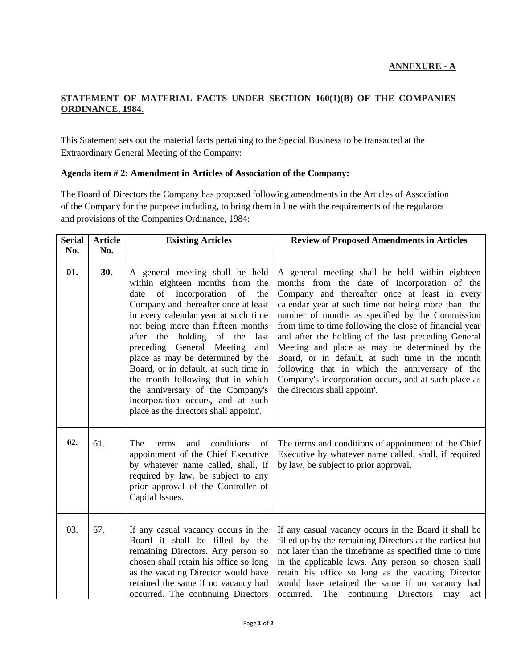## **STATEMENT OF MATERIAL FACTS UNDER SECTION 160(1)(B) OF THE COMPANIES ORDINANCE, 1984.**

This Statement sets out the material facts pertaining to the Special Business to be transacted at the Extraordinary General Meeting of the Company:

## **Agenda item # 2: Amendment in Articles of Association of the Company:**

The Board of Directors the Company has proposed following amendments in the Articles of Association of the Company for the purpose including, to bring them in line with the requirements of the regulators and provisions of the Companies Ordinance, 1984:

| <b>Serial</b> | <b>Article</b> | <b>Existing Articles</b>                                                                                                                                                                                                                                                                                                                                                                                                                                                                                                                             | <b>Review of Proposed Amendments in Articles</b>                                                                                                                                                                                                                                                                                                                                                                                                                                                                                                                                                                           |
|---------------|----------------|------------------------------------------------------------------------------------------------------------------------------------------------------------------------------------------------------------------------------------------------------------------------------------------------------------------------------------------------------------------------------------------------------------------------------------------------------------------------------------------------------------------------------------------------------|----------------------------------------------------------------------------------------------------------------------------------------------------------------------------------------------------------------------------------------------------------------------------------------------------------------------------------------------------------------------------------------------------------------------------------------------------------------------------------------------------------------------------------------------------------------------------------------------------------------------------|
| No.           | No.            |                                                                                                                                                                                                                                                                                                                                                                                                                                                                                                                                                      |                                                                                                                                                                                                                                                                                                                                                                                                                                                                                                                                                                                                                            |
| 01.           | 30.            | A general meeting shall be held<br>within eighteen months from the<br>incorporation<br>of<br>of<br>date<br>the<br>Company and thereafter once at least<br>in every calendar year at such time<br>not being more than fifteen months<br>after the<br>holding of the<br>last<br>preceding General Meeting<br>and<br>place as may be determined by the<br>Board, or in default, at such time in<br>the month following that in which<br>the anniversary of the Company's<br>incorporation occurs, and at such<br>place as the directors shall appoint'. | A general meeting shall be held within eighteen<br>months from the date of incorporation of the<br>Company and thereafter once at least in every<br>calendar year at such time not being more than the<br>number of months as specified by the Commission<br>from time to time following the close of financial year<br>and after the holding of the last preceding General<br>Meeting and place as may be determined by the<br>Board, or in default, at such time in the month<br>following that in which the anniversary of the<br>Company's incorporation occurs, and at such place as<br>the directors shall appoint'. |
| 02.           | 61.            | conditions<br>The<br>and<br>terms<br>of<br>appointment of the Chief Executive<br>by whatever name called, shall, if<br>required by law, be subject to any<br>prior approval of the Controller of<br>Capital Issues.                                                                                                                                                                                                                                                                                                                                  | The terms and conditions of appointment of the Chief<br>Executive by whatever name called, shall, if required<br>by law, be subject to prior approval.                                                                                                                                                                                                                                                                                                                                                                                                                                                                     |
| 03.           | 67.            | If any casual vacancy occurs in the<br>Board it shall be filled by the<br>remaining Directors. Any person so<br>chosen shall retain his office so long<br>as the vacating Director would have<br>retained the same if no vacancy had<br>occurred. The continuing Directors                                                                                                                                                                                                                                                                           | If any casual vacancy occurs in the Board it shall be<br>filled up by the remaining Directors at the earliest but<br>not later than the timeframe as specified time to time<br>in the applicable laws. Any person so chosen shall<br>retain his office so long as the vacating Director<br>would have retained the same if no vacancy had<br>occurred.<br>The<br>continuing Directors<br>may<br>act                                                                                                                                                                                                                        |